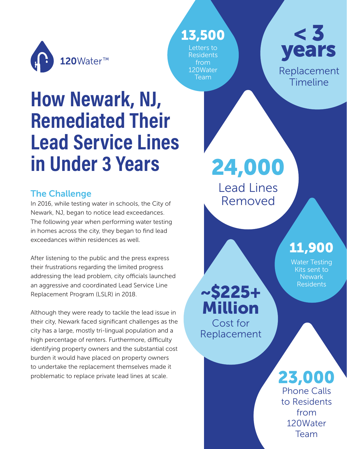

## 13,500

Letters to Residents from 120Water Team



# **How Newark, NJ, Remediated Their Lead Service Lines in Under 3 Years**

## The Challenge

In 2016, while testing water in schools, the City of Newark, NJ, began to notice lead exceedances. The following year when performing water testing in homes across the city, they began to find lead exceedances within residences as well.

After listening to the public and the press express their frustrations regarding the limited progress addressing the lead problem, city officials launched an aggressive and coordinated Lead Service Line Replacement Program (LSLR) in 2018.

Although they were ready to tackle the lead issue in their city, Newark faced significant challenges as the city has a large, mostly tri-lingual population and a high percentage of renters. Furthermore, difficulty identifying property owners and the substantial cost burden it would have placed on property owners to undertake the replacement themselves made it problematic to replace private lead lines at scale. 23,000

24,000

Lead Lines Removed

# 11,900

Water Testing Kits sent to Newark Residents

~\$225+ Million Cost for Replacement

> Phone Calls to Residents from 120Water Team